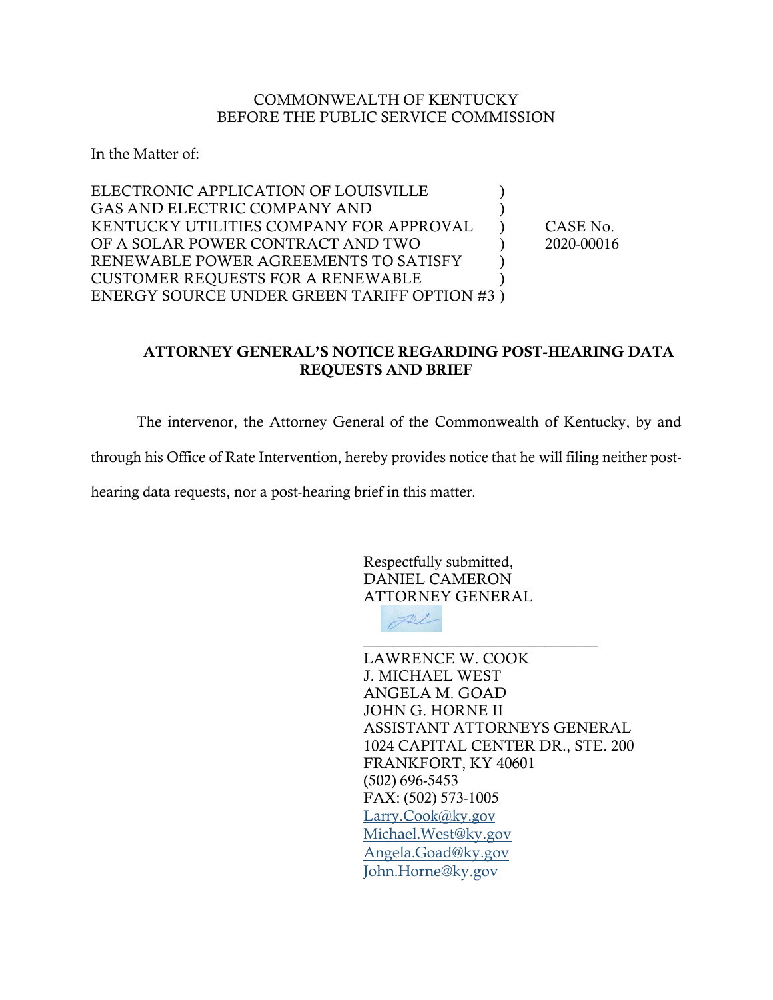## COMMONWEALTH OF KENTUCKY BEFORE THE PUBLIC SERVICE COMMISSION

In the Matter of:

| ELECTRONIC APPLICATION OF LOUISVILLE        |            |
|---------------------------------------------|------------|
| GAS AND ELECTRIC COMPANY AND                |            |
| KENTUCKY UTILITIES COMPANY FOR APPROVAL     | CASE No.   |
| OF A SOLAR POWER CONTRACT AND TWO           | 2020-00016 |
| RENEWABLE POWER AGREEMENTS TO SATISFY       |            |
| <b>CUSTOMER REQUESTS FOR A RENEWABLE</b>    |            |
| ENERGY SOURCE UNDER GREEN TARIFF OPTION #3) |            |

## ATTORNEY GENERAL'S NOTICE REGARDING POST-HEARING DATA REQUESTS AND BRIEF

The intervenor, the Attorney General of the Commonwealth of Kentucky, by and

through his Office of Rate Intervention, hereby provides notice that he will filing neither post-

hearing data requests, nor a post-hearing brief in this matter.

Respectfully submitted, DANIEL CAMERON ATTORNEY GENERAL



LAWRENCE W. COOK J. MICHAEL WEST ANGELA M. GOAD JOHN G. HORNE II ASSISTANT ATTORNEYS GENERAL 1024 CAPITAL CENTER DR., STE. 200 FRANKFORT, KY 40601 (502) 696-5453 FAX: (502) 573-1005 [Larry.Cook@ky.gov](mailto:Larry.Cook@ky.gov) [Michael.West@ky.gov](mailto:Michael.West@ky.gov) [Angela.Goad@ky.gov](mailto:Angela.Goad@ky.gov) [John.Horne@ky.gov](mailto:John.Horne@ky.gov)